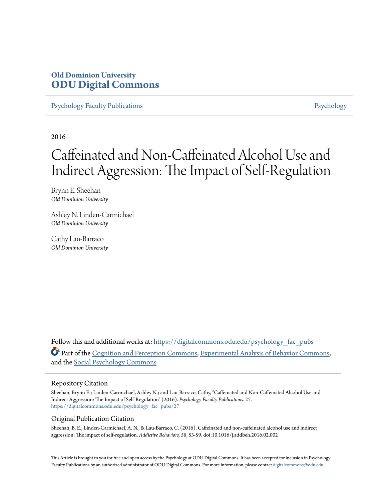# **Old Dominion University [ODU Digital Commons](https://digitalcommons.odu.edu?utm_source=digitalcommons.odu.edu%2Fpsychology_fac_pubs%2F27&utm_medium=PDF&utm_campaign=PDFCoverPages)**

[Psychology Faculty Publications](https://digitalcommons.odu.edu/psychology_fac_pubs?utm_source=digitalcommons.odu.edu%2Fpsychology_fac_pubs%2F27&utm_medium=PDF&utm_campaign=PDFCoverPages) **[Psychology](https://digitalcommons.odu.edu/psychology?utm_source=digitalcommons.odu.edu%2Fpsychology_fac_pubs%2F27&utm_medium=PDF&utm_campaign=PDFCoverPages)** Psychology

2016

# Caffeinated and Non-Caffeinated Alcohol Use and Indirect Aggression: The Impact of Self-Regulation

Brynn E. Sheehan *Old Dominion University*

Ashley N. Linden-Carmichael *Old Dominion University*

Cathy Lau-Barraco *Old Dominion University*

Follow this and additional works at: [https://digitalcommons.odu.edu/psychology\\_fac\\_pubs](https://digitalcommons.odu.edu/psychology_fac_pubs?utm_source=digitalcommons.odu.edu%2Fpsychology_fac_pubs%2F27&utm_medium=PDF&utm_campaign=PDFCoverPages) Part of the [Cognition and Perception Commons](http://network.bepress.com/hgg/discipline/407?utm_source=digitalcommons.odu.edu%2Fpsychology_fac_pubs%2F27&utm_medium=PDF&utm_campaign=PDFCoverPages), [Experimental Analysis of Behavior Commons](http://network.bepress.com/hgg/discipline/1236?utm_source=digitalcommons.odu.edu%2Fpsychology_fac_pubs%2F27&utm_medium=PDF&utm_campaign=PDFCoverPages), and the [Social Psychology Commons](http://network.bepress.com/hgg/discipline/414?utm_source=digitalcommons.odu.edu%2Fpsychology_fac_pubs%2F27&utm_medium=PDF&utm_campaign=PDFCoverPages)

#### Repository Citation

Sheehan, Brynn E.; Linden-Carmichael, Ashley N.; and Lau-Barraco, Cathy, "Caffeinated and Non-Caffeinated Alcohol Use and Indirect Aggression: The Impact of Self-Regulation" (2016). *Psychology Faculty Publications*. 27. [https://digitalcommons.odu.edu/psychology\\_fac\\_pubs/27](https://digitalcommons.odu.edu/psychology_fac_pubs/27?utm_source=digitalcommons.odu.edu%2Fpsychology_fac_pubs%2F27&utm_medium=PDF&utm_campaign=PDFCoverPages)

#### Original Publication Citation

Sheehan, B. E., Linden-Carmichael, A. N., & Lau-Barraco, C. (2016). Caffeinated and non-caffeinated alcohol use and indirect aggression: The impact of self-regulation. *Addictive Behaviors, 58*, 53-59. doi:10.1016/j.addbeh.2016.02.002

This Article is brought to you for free and open access by the Psychology at ODU Digital Commons. It has been accepted for inclusion in Psychology Faculty Publications by an authorized administrator of ODU Digital Commons. For more information, please contact [digitalcommons@odu.edu.](mailto:digitalcommons@odu.edu)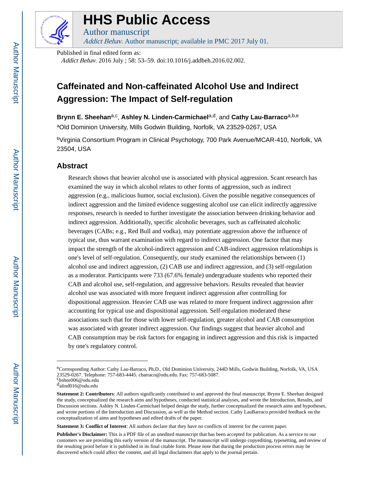

# **HHS Public Access**

Author manuscript Addict Behav. Author manuscript; available in PMC 2017 July 01. **HHS Public Access**<br>Author manuscript<br>Addict Behav. Author manuscript; available in PMC 2017 July 01.<br>Published in final edited form as:

Published in final edited form as:

Addict Behav. 2016 July ; 58: 53–59. doi:10.1016/j.addbeh.2016.02.002.

# **Caffeinated and Non-caffeinated Alcohol Use and Indirect Aggression: The Impact of Self-regulation**

Brynn E. Sheehan<sup>a,c</sup>, Ashley N. Linden-Carmichael<sup>a,d</sup>, and Cathy Lau-Barraco<sup>a,b,e</sup>

aOld Dominion University, Mills Godwin Building, Norfolk, VA 23529-0267, USA

<sup>b</sup>Virginia Consortium Program in Clinical Psychology, 700 Park Avenue/MCAR-410, Norfolk, VA 23504, USA

## **Abstract**

Research shows that heavier alcohol use is associated with physical aggression. Scant research has examined the way in which alcohol relates to other forms of aggression, such as indirect aggression (e.g., malicious humor, social exclusion). Given the possible negative consequences of indirect aggression and the limited evidence suggesting alcohol use can elicit indirectly aggressive responses, research is needed to further investigate the association between drinking behavior and indirect aggression. Additionally, specific alcoholic beverages, such as caffeinated alcoholic beverages (CABs; e.g., Red Bull and vodka), may potentiate aggression above the influence of typical use, thus warrant examination with regard to indirect aggression. One factor that may impact the strength of the alcohol-indirect aggression and CAB-indirect aggression relationships is one's level of self-regulation. Consequently, our study examined the relationships between (1) alcohol use and indirect aggression, (2) CAB use and indirect aggression, and (3) self-regulation as a moderator. Participants were 733 (67.6% female) undergraduate students who reported their CAB and alcohol use, self-regulation, and aggressive behaviors. Results revealed that heavier alcohol use was associated with more frequent indirect aggression after controlling for dispositional aggression. Heavier CAB use was related to more frequent indirect aggression after accounting for typical use and dispositional aggression. Self-regulation moderated these associations such that for those with lower self-regulation, greater alcohol and CAB consumption was associated with greater indirect aggression. Our findings suggest that heavier alcohol and CAB consumption may be risk factors for engaging in indirect aggression and this risk is impacted by one's regulatory control.

**Statement 3: Conflict of Interest**: All authors declare that they have no conflicts of interest for the current paper.

<sup>&</sup>lt;sup>e</sup>Corresponding Author: Cathy Lau-Barraco, Ph.D., Old Dominion University, 244D Mills, Godwin Building, Norfolk, VA, USA 23529-0267. Telephone: 757-683-4445. cbarraco@odu.edu. Fax: 757-683-5087.  $c<sub>bshee</sub>006@odu.edu$ 

dalind016@odu.edu

**Statement 2: Contributors**: All authors significantly contributed to and approved the final manuscript. Brynn E. Sheehan designed the study, conceptualized the research aims and hypotheses, conducted statistical analyses, and wrote the Introduction, Results, and Discussion sections. Ashley N. Linden-Carmichael helped design the study, further conceptualized the research aims and hypotheses, and wrote portions of the Introduction and Discussion, as well as the Method section. Cathy LauBarraco provided feedback on the conceptualization of aims and hypotheses and edited drafts of the paper.

**Publisher's Disclaimer:** This is a PDF file of an unedited manuscript that has been accepted for publication. As a service to our customers we are providing this early version of the manuscript. The manuscript will undergo copyediting, typesetting, and review of the resulting proof before it is published in its final citable form. Please note that during the production process errors may be discovered which could affect the content, and all legal disclaimers that apply to the journal pertain.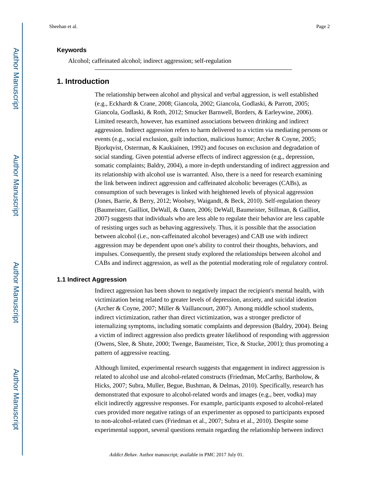#### **Keywords**

Alcohol; caffeinated alcohol; indirect aggression; self-regulation

#### **1. Introduction**

The relationship between alcohol and physical and verbal aggression, is well established (e.g., Eckhardt & Crane, 2008; Giancola, 2002; Giancola, Godlaski, & Parrott, 2005; Giancola, Godlaski, & Roth, 2012; Smucker Barnwell, Borders, & Earleywine, 2006). Limited research, however, has examined associations between drinking and indirect aggression. Indirect aggression refers to harm delivered to a victim via mediating persons or events (e.g., social exclusion, guilt induction, malicious humor; Archer & Coyne, 2005; Bjorkqvist, Osterman, & Kaukiainen, 1992) and focuses on exclusion and degradation of social standing. Given potential adverse effects of indirect aggression (e.g., depression, somatic complaints; Baldry, 2004), a more in-depth understanding of indirect aggression and its relationship with alcohol use is warranted. Also, there is a need for research examining the link between indirect aggression and caffeinated alcoholic beverages (CABs), as consumption of such beverages is linked with heightened levels of physical aggression (Jones, Barrie, & Berry, 2012; Woolsey, Waigandt, & Beck, 2010). Self-regulation theory (Baumeister, Gailliot, DeWall, & Oaten, 2006; DeWall, Baumeister, Stillman, & Gailliot, 2007) suggests that individuals who are less able to regulate their behavior are less capable of resisting urges such as behaving aggressively. Thus, it is possible that the association between alcohol (i.e., non-caffeinated alcohol beverages) and CAB use with indirect aggression may be dependent upon one's ability to control their thoughts, behaviors, and impulses. Consequently, the present study explored the relationships between alcohol and CABs and indirect aggression, as well as the potential moderating role of regulatory control.

#### **1.1 Indirect Aggression**

Indirect aggression has been shown to negatively impact the recipient's mental health, with victimization being related to greater levels of depression, anxiety, and suicidal ideation (Archer & Coyne, 2007; Miller & Vaillancourt, 2007). Among middle school students, indirect victimization, rather than direct victimization, was a stronger predictor of internalizing symptoms, including somatic complaints and depression (Baldry, 2004). Being a victim of indirect aggression also predicts greater likelihood of responding with aggression (Owens, Slee, & Shute, 2000; Twenge, Baumeister, Tice, & Stucke, 2001); thus promoting a pattern of aggressive reacting.

Although limited, experimental research suggests that engagement in indirect aggression is related to alcohol use and alcohol-related constructs (Friedman, McCarthy, Bartholow, & Hicks, 2007; Subra, Muller, Begue, Bushman, & Delmas, 2010). Specifically, research has demonstrated that exposure to alcohol-related words and images (e.g., beer, vodka) may elicit indirectly aggressive responses. For example, participants exposed to alcohol-related cues provided more negative ratings of an experimenter as opposed to participants exposed to non-alcohol-related cues (Friedman et al., 2007; Subra et al., 2010). Despite some experimental support, several questions remain regarding the relationship between indirect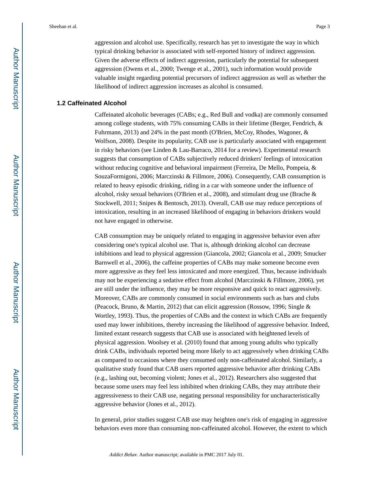aggression and alcohol use. Specifically, research has yet to investigate the way in which typical drinking behavior is associated with self-reported history of indirect aggression. Given the adverse effects of indirect aggression, particularly the potential for subsequent aggression (Owens et al., 2000; Twenge et al., 2001), such information would provide valuable insight regarding potential precursors of indirect aggression as well as whether the likelihood of indirect aggression increases as alcohol is consumed.

#### **1.2 Caffeinated Alcohol**

Caffeinated alcoholic beverages (CABs; e.g., Red Bull and vodka) are commonly consumed among college students, with 75% consuming CABs in their lifetime (Berger, Fendrich, & Fuhrmann, 2013) and 24% in the past month (O'Brien, McCoy, Rhodes, Wagoner, & Wolfson, 2008). Despite its popularity, CAB use is particularly associated with engagement in risky behaviors (see Linden & Lau-Barraco, 2014 for a review). Experimental research suggests that consumption of CABs subjectively reduced drinkers' feelings of intoxication without reducing cognitive and behavioral impairment (Ferreira, De Mello, Pompeia, & SouzaFormigoni, 2006; Marczinski & Fillmore, 2006). Consequently, CAB consumption is related to heavy episodic drinking, riding in a car with someone under the influence of alcohol, risky sexual behaviors (O'Brien et al., 2008), and stimulant drug use (Brache & Stockwell, 2011; Snipes & Bentosch, 2013). Overall, CAB use may reduce perceptions of intoxication, resulting in an increased likelihood of engaging in behaviors drinkers would not have engaged in otherwise.

CAB consumption may be uniquely related to engaging in aggressive behavior even after considering one's typical alcohol use. That is, although drinking alcohol can decrease inhibitions and lead to physical aggression (Giancola, 2002; Giancola et al., 2009; Smucker Barnwell et al., 2006), the caffeine properties of CABs may make someone become even more aggressive as they feel less intoxicated and more energized. Thus, because individuals may not be experiencing a sedative effect from alcohol (Marczinski & Fillmore, 2006), yet are still under the influence, they may be more responsive and quick to react aggressively. Moreover, CABs are commonly consumed in social environments such as bars and clubs (Peacock, Bruno, & Martin, 2012) that can elicit aggression (Rossow, 1996; Single & Wortley, 1993). Thus, the properties of CABs and the context in which CABs are frequently used may lower inhibitions, thereby increasing the likelihood of aggressive behavior. Indeed, limited extant research suggests that CAB use is associated with heightened levels of physical aggression. Woolsey et al. (2010) found that among young adults who typically drink CABs, individuals reported being more likely to act aggressively when drinking CABs as compared to occasions where they consumed only non-caffeinated alcohol. Similarly, a qualitative study found that CAB users reported aggressive behavior after drinking CABs (e.g., lashing out, becoming violent; Jones et al., 2012). Researchers also suggested that because some users may feel less inhibited when drinking CABs, they may attribute their aggressiveness to their CAB use, negating personal responsibility for uncharacteristically aggressive behavior (Jones et al., 2012).

In general, prior studies suggest CAB use may heighten one's risk of engaging in aggressive behaviors even more than consuming non-caffeinated alcohol. However, the extent to which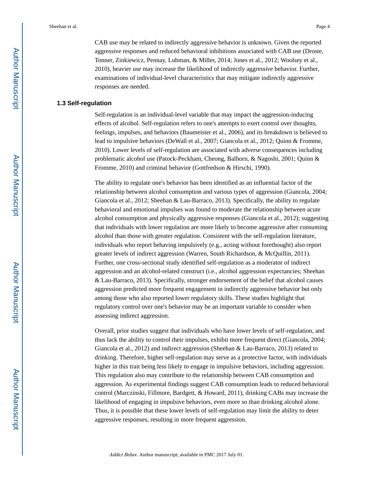CAB use may be related to indirectly aggressive behavior is unknown. Given the reported aggressive responses and reduced behavioral inhibitions associated with CAB use (Droste, Tonner, Zinkiewicz, Pennay, Lubman, & Miller, 2014; Jones et al., 2012; Woolsey et al., 2010), heavier use may increase the likelihood of indirectly aggressive behavior. Further, examinations of individual-level characteristics that may mitigate indirectly aggressive responses are needed.

#### **1.3 Self-regulation**

Self-regulation is an individual-level variable that may impact the aggression-inducing effects of alcohol. Self-regulation refers to one's attempts to exert control over thoughts, feelings, impulses, and behaviors (Baumeister et al., 2006), and its breakdown is believed to lead to impulsive behaviors (DeWall et al., 2007; Giancola et al., 2012; Quinn & Fromme, 2010). Lower levels of self-regulation are associated with adverse consequences including problematic alcohol use (Patock-Peckham, Cheong, Balhorn, & Nagoshi, 2001; Quinn & Fromme, 2010) and criminal behavior (Gottfredson & Hirschi, 1990).

The ability to regulate one's behavior has been identified as an influential factor of the relationship between alcohol consumption and various types of aggression (Giancola, 2004; Giancola et al., 2012; Sheehan & Lau-Barraco, 2013). Specifically, the ability to regulate behavioral and emotional impulses was found to moderate the relationship between acute alcohol consumption and physically aggressive responses (Giancola et al., 2012); suggesting that individuals with lower regulation are more likely to become aggressive after consuming alcohol than those with greater regulation. Consistent with the self-regulation literature, individuals who report behaving impulsively (e.g., acting without forethought) also report greater levels of indirect aggression (Warren, South Richardson, & McQuillin, 2011). Further, one cross-sectional study identified self-regulation as a moderator of indirect aggression and an alcohol-related construct (i.e., alcohol aggression expectancies; Sheehan & Lau-Barraco, 2013). Specifically, stronger endorsement of the belief that alcohol causes aggression predicted more frequent engagement in indirectly aggressive behavior but only among those who also reported lower regulatory skills. These studies highlight that regulatory control over one's behavior may be an important variable to consider when assessing indirect aggression.

Overall, prior studies suggest that individuals who have lower levels of self-regulation, and thus lack the ability to control their impulses, exhibit more frequent direct (Giancola, 2004; Giancola et al., 2012) and indirect aggression (Sheehan & Lau-Barraco, 2013) related to drinking. Therefore, higher self-regulation may serve as a protective factor, with individuals higher in this trait being less likely to engage in impulsive behaviors, including aggression. This regulation also may contribute to the relationship between CAB consumption and aggression. As experimental findings suggest CAB consumption leads to reduced behavioral control (Marczinski, Fillmore, Bardgett, & Howard, 2011), drinking CABs may increase the likelihood of engaging in impulsive behaviors, even more so than drinking alcohol alone. Thus, it is possible that these lower levels of self-regulation may limit the ability to deter aggressive responses, resulting in more frequent aggression.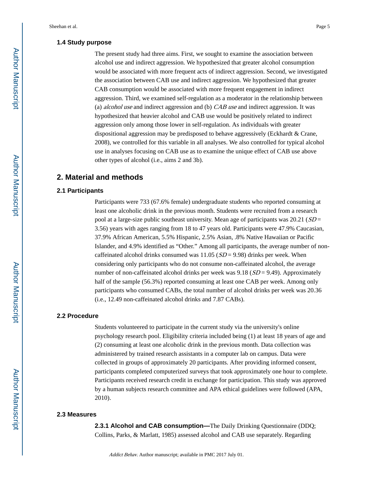#### **1.4 Study purpose**

The present study had three aims. First, we sought to examine the association between alcohol use and indirect aggression. We hypothesized that greater alcohol consumption would be associated with more frequent acts of indirect aggression. Second, we investigated the association between CAB use and indirect aggression. We hypothesized that greater CAB consumption would be associated with more frequent engagement in indirect aggression. Third, we examined self-regulation as a moderator in the relationship between (a) *alcohol use* and indirect aggression and (b) *CAB use* and indirect aggression. It was hypothesized that heavier alcohol and CAB use would be positively related to indirect aggression only among those lower in self-regulation. As individuals with greater dispositional aggression may be predisposed to behave aggressively (Eckhardt & Crane, 2008), we controlled for this variable in all analyses. We also controlled for typical alcohol use in analyses focusing on CAB use as to examine the unique effect of CAB use above other types of alcohol (i.e., aims 2 and 3b).

### **2. Material and methods**

#### **2.1 Participants**

Participants were 733 (67.6% female) undergraduate students who reported consuming at least one alcoholic drink in the previous month. Students were recruited from a research pool at a large-size public southeast university. Mean age of participants was  $20.21$  ( $SD =$ 3.56) years with ages ranging from 18 to 47 years old. Participants were 47.9% Caucasian, 37.9% African American, 5.5% Hispanic, 2.5% Asian, .8% Native Hawaiian or Pacific Islander, and 4.9% identified as "Other." Among all participants, the average number of noncaffeinated alcohol drinks consumed was  $11.05$  ( $SD = 9.98$ ) drinks per week. When considering only participants who do not consume non-caffeinated alcohol, the average number of non-caffeinated alcohol drinks per week was  $9.18$  ( $SD = 9.49$ ). Approximately half of the sample (56.3%) reported consuming at least one CAB per week. Among only participants who consumed CABs, the total number of alcohol drinks per week was 20.36 (i.e., 12.49 non-caffeinated alcohol drinks and 7.87 CABs).

#### **2.2 Procedure**

Students volunteered to participate in the current study via the university's online psychology research pool. Eligibility criteria included being (1) at least 18 years of age and (2) consuming at least one alcoholic drink in the previous month. Data collection was administered by trained research assistants in a computer lab on campus. Data were collected in groups of approximately 20 participants. After providing informed consent, participants completed computerized surveys that took approximately one hour to complete. Participants received research credit in exchange for participation. This study was approved by a human subjects research committee and APA ethical guidelines were followed (APA, 2010).

#### **2.3 Measures**

**2.3.1 Alcohol and CAB consumption—**The Daily Drinking Questionnaire (DDQ; Collins, Parks, & Marlatt, 1985) assessed alcohol and CAB use separately. Regarding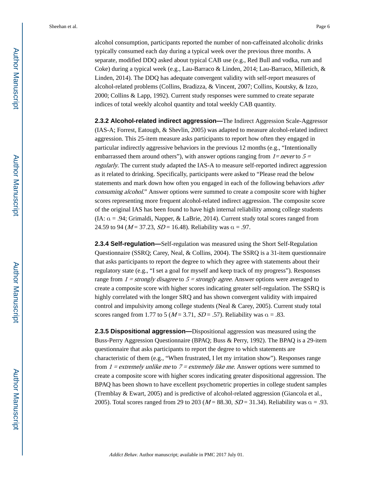alcohol consumption, participants reported the number of non-caffeinated alcoholic drinks typically consumed each day during a typical week over the previous three months. A separate, modified DDQ asked about typical CAB use (e.g., Red Bull and vodka, rum and Coke) during a typical week (e.g., Lau-Barraco & Linden, 2014; Lau-Barraco, Milletich, & Linden, 2014). The DDQ has adequate convergent validity with self-report measures of alcohol-related problems (Collins, Bradizza, & Vincent, 2007; Collins, Koutsky, & Izzo, 2000; Collins & Lapp, 1992). Current study responses were summed to create separate indices of total weekly alcohol quantity and total weekly CAB quantity.

**2.3.2 Alcohol-related indirect aggression—**The Indirect Aggression Scale-Aggressor (IAS-A; Forrest, Eatough, & Shevlin, 2005) was adapted to measure alcohol-related indirect aggression. This 25-item measure asks participants to report how often they engaged in particular indirectly aggressive behaviors in the previous 12 months (e.g., "Intentionally embarrassed them around others"), with answer options ranging from  $1=$  never to  $5=$ regularly. The current study adapted the IAS-A to measure self-reported indirect aggression as it related to drinking. Specifically, participants were asked to "Please read the below statements and mark down how often you engaged in each of the following behaviors after consuming alcohol." Answer options were summed to create a composite score with higher scores representing more frequent alcohol-related indirect aggression. The composite score of the original IAS has been found to have high internal reliability among college students (IA: α = .94; Grimaldi, Napper, & LaBrie, 2014). Current study total scores ranged from 24.59 to 94 ( $M = 37.23$ ,  $SD = 16.48$ ). Reliability was  $\alpha = .97$ .

**2.3.4 Self-regulation—**Self-regulation was measured using the Short Self-Regulation Questionnaire (SSRQ; Carey, Neal, & Collins, 2004). The SSRQ is a 31-item questionnaire that asks participants to report the degree to which they agree with statements about their regulatory state (e.g., "I set a goal for myself and keep track of my progress"). Responses range from  $1 = strongly disagree$  to  $5 = strongly agree$ . Answer options were averaged to create a composite score with higher scores indicating greater self-regulation. The SSRQ is highly correlated with the longer SRQ and has shown convergent validity with impaired control and impulsivity among college students (Neal & Carey, 2005). Current study total scores ranged from 1.77 to 5 ( $M = 3.71$ ,  $SD = .57$ ). Reliability was  $\alpha = .83$ .

**2.3.5 Dispositional aggression—**Dispositional aggression was measured using the Buss-Perry Aggression Questionnaire (BPAQ; Buss & Perry, 1992). The BPAQ is a 29-item questionnaire that asks participants to report the degree to which statements are characteristic of them (e.g., "When frustrated, I let my irritation show"). Responses range from  $1 =$  extremely unlike me to  $7 =$  extremely like me. Answer options were summed to create a composite score with higher scores indicating greater dispositional aggression. The BPAQ has been shown to have excellent psychometric properties in college student samples (Tremblay & Ewart, 2005) and is predictive of alcohol-related aggression (Giancola et al., 2005). Total scores ranged from 29 to 203 ( $M = 88.30$ ,  $SD = 31.34$ ). Reliability was  $\alpha = .93$ .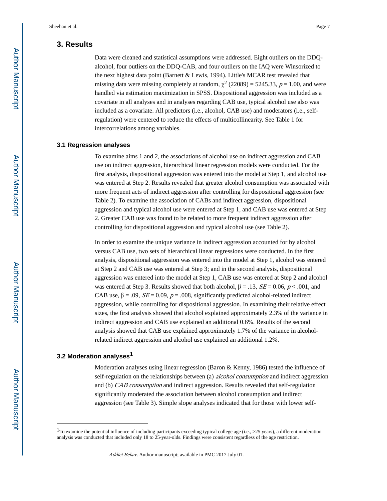### **3. Results**

Data were cleaned and statistical assumptions were addressed. Eight outliers on the DDQalcohol, four outliers on the DDQ-CAB, and four outliers on the IAQ were Winsorized to the next highest data point (Barnett & Lewis, 1994). Little's MCAR test revealed that missing data were missing completely at random,  $\chi^2$  (22089) = 5245.33,  $p = 1.00$ , and were handled via estimation maximization in SPSS. Dispositional aggression was included as a covariate in all analyses and in analyses regarding CAB use, typical alcohol use also was included as a covariate. All predictors (i.e., alcohol, CAB use) and moderators (i.e., selfregulation) were centered to reduce the effects of multicollinearity. See Table 1 for intercorrelations among variables.

#### **3.1 Regression analyses**

To examine aims 1 and 2, the associations of alcohol use on indirect aggression and CAB use on indirect aggression, hierarchical linear regression models were conducted. For the first analysis, dispositional aggression was entered into the model at Step 1, and alcohol use was entered at Step 2. Results revealed that greater alcohol consumption was associated with more frequent acts of indirect aggression after controlling for dispositional aggression (see Table 2). To examine the association of CABs and indirect aggression, dispositional aggression and typical alcohol use were entered at Step 1, and CAB use was entered at Step 2. Greater CAB use was found to be related to more frequent indirect aggression after controlling for dispositional aggression and typical alcohol use (see Table 2).

In order to examine the unique variance in indirect aggression accounted for by alcohol versus CAB use, two sets of hierarchical linear regressions were conducted. In the first analysis, dispositional aggression was entered into the model at Step 1, alcohol was entered at Step 2 and CAB use was entered at Step 3; and in the second analysis, dispositional aggression was entered into the model at Step 1, CAB use was entered at Step 2 and alcohol was entered at Step 3. Results showed that both alcohol,  $\beta = .13$ ,  $SE = 0.06$ ,  $p < .001$ , and CAB use,  $\beta = .09$ ,  $SE = 0.09$ ,  $p = .008$ , significantly predicted alcohol-related indirect aggression, while controlling for dispositional aggression. In examining their relative effect sizes, the first analysis showed that alcohol explained approximately 2.3% of the variance in indirect aggression and CAB use explained an additional 0.6%. Results of the second analysis showed that CAB use explained approximately 1.7% of the variance in alcoholrelated indirect aggression and alcohol use explained an additional 1.2%.

#### **3.2 Moderation analyses1**

Moderation analyses using linear regression (Baron & Kenny, 1986) tested the influence of self-regulation on the relationships between (a) *alcohol consumption* and indirect aggression and (b) CAB consumption and indirect aggression. Results revealed that self-regulation significantly moderated the association between alcohol consumption and indirect aggression (see Table 3). Simple slope analyses indicated that for those with lower self-

 $1$ To examine the potential influence of including participants exceeding typical college age (i.e.,  $>$ 25 years), a different moderation analysis was conducted that included only 18 to 25-year-olds. Findings were consistent regardless of the age restriction.

Addict Behav. Author manuscript; available in PMC 2017 July 01.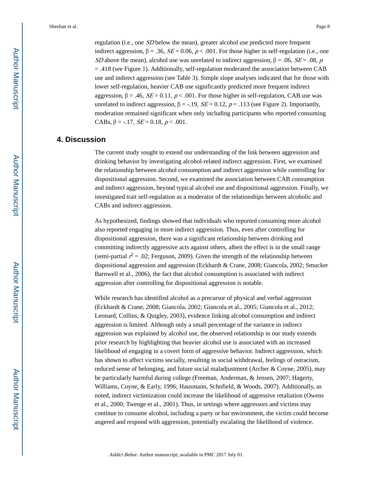regulation (i.e., one SD below the mean), greater alcohol use predicted more frequent indirect aggression,  $\beta = 0.36$ ,  $SE = 0.06$ ,  $p < 0.001$ . For those higher in self-regulation (i.e., one SD above the mean), alcohol use was unrelated to indirect aggression,  $\beta = .06$ ,  $SE = .08$ , p = .418 (see Figure 1). Additionally, self-regulation moderated the association between CAB use and indirect aggression (see Table 3). Simple slope analyses indicated that for those with lower self-regulation, heavier CAB use significantly predicted more frequent indirect aggression,  $β = .46$ ,  $SE = 0.11$ ,  $p < .001$ . For those higher in self-regulation, CAB use was unrelated to indirect aggression,  $β = -.19$ ,  $SE = 0.12$ ,  $p = .113$  (see Figure 2). Importantly, moderation remained significant when only including participants who reported consuming CABs,  $\beta = -.17$ ,  $SE = 0.18$ ,  $p < .001$ .

### **4. Discussion**

The current study sought to extend our understanding of the link between aggression and drinking behavior by investigating alcohol-related indirect aggression. First, we examined the relationship between alcohol consumption and indirect aggression while controlling for dispositional aggression. Second, we examined the association between CAB consumption and indirect aggression, beyond typical alcohol use and dispositional aggression. Finally, we investigated trait self-regulation as a moderator of the relationships between alcoholic and CABs and indirect aggression.

As hypothesized, findings showed that individuals who reported consuming more alcohol also reported engaging in more indirect aggression. Thus, even after controlling for dispositional aggression, there was a significant relationship between drinking and committing indirectly aggressive acts against others, albeit the effect is in the small range (semi-partial  $r^2 = .02$ ; Ferguson, 2009). Given the strength of the relationship between dispositional aggression and aggression (Eckhardt & Crane, 2008; Giancola, 2002; Smucker Barnwell et al., 2006), the fact that alcohol consumption is associated with indirect aggression after controlling for dispositional aggression is notable.

While research has identified alcohol as a precursor of physical and verbal aggression (Eckhardt & Crane, 2008; Giancola, 2002; Giancola et al., 2005; Giancola et al., 2012; Leonard, Collins, & Quigley, 2003), evidence linking alcohol consumption and indirect aggression is limited. Although only a small percentage of the variance in indirect aggression was explained by alcohol use, the observed relationship in our study extends prior research by highlighting that heavier alcohol use is associated with an increased likelihood of engaging in a covert form of aggressive behavior. Indirect aggression, which has shown to affect victims socially, resulting in social withdrawal, feelings of ostracism, reduced sense of belonging, and future social maladjustment (Archer & Coyne, 2005), may be particularly harmful during college (Freeman, Anderman, & Jensen, 2007; Hagerty, Williams, Coyne, & Early, 1996; Hausmann, Schofield, & Woods, 2007). Additionally, as noted, indirect victimization could increase the likelihood of aggressive retaliation (Owens et al., 2000; Twenge et al., 2001). Thus, in settings where aggressors and victims may continue to consume alcohol, including a party or bar environment, the victim could become angered and respond with aggression, potentially escalating the likelihood of violence.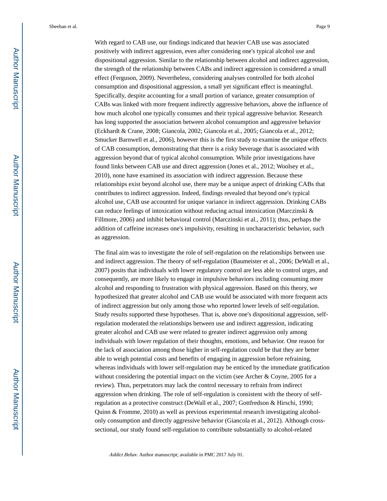With regard to CAB use, our findings indicated that heavier CAB use was associated positively with indirect aggression, even after considering one's typical alcohol use and dispositional aggression. Similar to the relationship between alcohol and indirect aggression, the strength of the relationship between CABs and indirect aggression is considered a small effect (Ferguson, 2009). Nevertheless, considering analyses controlled for both alcohol consumption and dispositional aggression, a small yet significant effect is meaningful. Specifically, despite accounting for a small portion of variance, greater consumption of CABs was linked with more frequent indirectly aggressive behaviors, above the influence of how much alcohol one typically consumes and their typical aggressive behavior. Research has long supported the association between alcohol consumption and aggressive behavior (Eckhardt & Crane, 2008; Giancola, 2002; Giancola et al., 2005; Giancola et al., 2012; Smucker Barnwell et al., 2006), however this is the first study to examine the unique effects of CAB consumption, demonstrating that there is a risky beverage that is associated with aggression beyond that of typical alcohol consumption. While prior investigations have found links between CAB use and direct aggression (Jones et al., 2012; Woolsey et al., 2010), none have examined its association with indirect aggression. Because these relationships exist beyond alcohol use, there may be a unique aspect of drinking CABs that contributes to indirect aggression. Indeed, findings revealed that beyond one's typical alcohol use, CAB use accounted for unique variance in indirect aggression. Drinking CABs can reduce feelings of intoxication without reducing actual intoxication (Marczinski & Fillmore, 2006) and inhibit behavioral control (Marczinski et al., 2011); thus, perhaps the addition of caffeine increases one's impulsivity, resulting in uncharacteristic behavior, such as aggression.

The final aim was to investigate the role of self-regulation on the relationships between use and indirect aggression. The theory of self-regulation (Baumeister et al., 2006; DeWall et al., 2007) posits that individuals with lower regulatory control are less able to control urges, and consequently, are more likely to engage in impulsive behaviors including consuming more alcohol and responding to frustration with physical aggression. Based on this theory, we hypothesized that greater alcohol and CAB use would be associated with more frequent acts of indirect aggression but only among those who reported lower levels of self-regulation. Study results supported these hypotheses. That is, above one's dispositional aggression, selfregulation moderated the relationships between use and indirect aggression, indicating greater alcohol and CAB use were related to greater indirect aggression only among individuals with lower regulation of their thoughts, emotions, and behavior. One reason for the lack of association among those higher in self-regulation could be that they are better able to weigh potential costs and benefits of engaging in aggression before refraining, whereas individuals with lower self-regulation may be enticed by the immediate gratification without considering the potential impact on the victim (see Archer & Coyne, 2005 for a review). Thus, perpetrators may lack the control necessary to refrain from indirect aggression when drinking. The role of self-regulation is consistent with the theory of selfregulation as a protective construct (DeWall et al., 2007; Gottfredson & Hirschi, 1990; Quinn & Fromme, 2010) as well as previous experimental research investigating alcoholonly consumption and directly aggressive behavior (Giancola et al., 2012). Although crosssectional, our study found self-regulation to contribute substantially to alcohol-related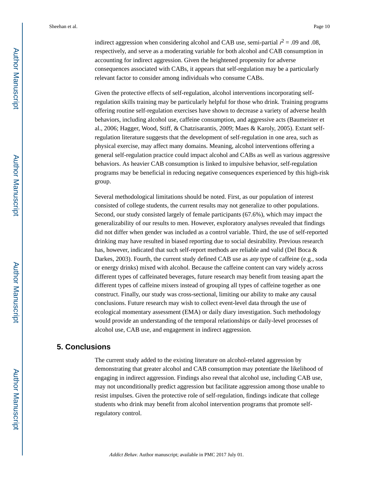indirect aggression when considering alcohol and CAB use, semi-partial  $r^2 = .09$  and  $.08$ , respectively, and serve as a moderating variable for both alcohol and CAB consumption in accounting for indirect aggression. Given the heightened propensity for adverse consequences associated with CABs, it appears that self-regulation may be a particularly relevant factor to consider among individuals who consume CABs.

Given the protective effects of self-regulation, alcohol interventions incorporating selfregulation skills training may be particularly helpful for those who drink. Training programs offering routine self-regulation exercises have shown to decrease a variety of adverse health behaviors, including alcohol use, caffeine consumption, and aggressive acts (Baumeister et al., 2006; Hagger, Wood, Stiff, & Chatzisarantis, 2009; Maes & Karoly, 2005). Extant selfregulation literature suggests that the development of self-regulation in one area, such as physical exercise, may affect many domains. Meaning, alcohol interventions offering a general self-regulation practice could impact alcohol and CABs as well as various aggressive behaviors. As heavier CAB consumption is linked to impulsive behavior, self-regulation programs may be beneficial in reducing negative consequences experienced by this high-risk group.

Several methodological limitations should be noted. First, as our population of interest consisted of college students, the current results may not generalize to other populations. Second, our study consisted largely of female participants (67.6%), which may impact the generalizability of our results to men. However, exploratory analyses revealed that findings did not differ when gender was included as a control variable. Third, the use of self-reported drinking may have resulted in biased reporting due to social desirability. Previous research has, however, indicated that such self-report methods are reliable and valid (Del Boca & Darkes, 2003). Fourth, the current study defined CAB use as *any* type of caffeine (e.g., soda or energy drinks) mixed with alcohol. Because the caffeine content can vary widely across different types of caffeinated beverages, future research may benefit from teasing apart the different types of caffeine mixers instead of grouping all types of caffeine together as one construct. Finally, our study was cross-sectional, limiting our ability to make any causal conclusions. Future research may wish to collect event-level data through the use of ecological momentary assessment (EMA) or daily diary investigation. Such methodology would provide an understanding of the temporal relationships or daily-level processes of alcohol use, CAB use, and engagement in indirect aggression.

#### **5. Conclusions**

The current study added to the existing literature on alcohol-related aggression by demonstrating that greater alcohol and CAB consumption may potentiate the likelihood of engaging in indirect aggression. Findings also reveal that alcohol use, including CAB use, may not unconditionally predict aggression but facilitate aggression among those unable to resist impulses. Given the protective role of self-regulation, findings indicate that college students who drink may benefit from alcohol intervention programs that promote selfregulatory control.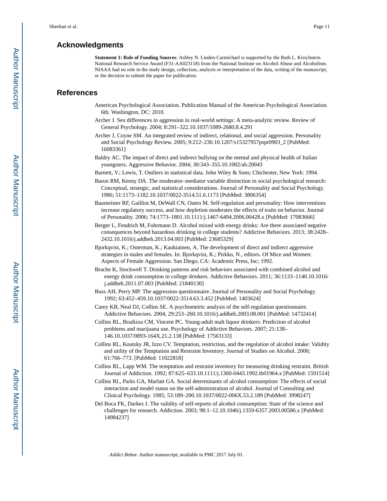### **Acknowledgments**

**Statement 1: Role of Funding Sources**: Ashley N. Linden-Carmichael is supported by the Ruth L. Kirschstein National Research Service Award (F31-AA023118) from the National Institute on Alcohol Abuse and Alcoholism. NIAAA had no role in the study design, collection, analysis or interpretation of the data, writing of the manuscript, or the decision to submit the paper for publication.

#### **References**

- American Psychological Association. Publication Manual of the American Psychological Association. 6th. Washington, DC: 2010.
- Archer J. Sex differences in aggression in real-world settings: A meta-analytic review. Review of General Psychology. 2004; 8:291–322.10.1037/1089-2680.8.4.291
- Archer J, Coyne SM. An integrated review of indirect, relational, and social aggression. Personality and Social Psychology Review. 2005; 9:212–230.10.1207/s15327957pspr0903\_2 [PubMed: 16083361]
- Baldry AC. The impact of direct and indirect bullying on the mental and physical health of Italian youngsters. Aggressive Behavior. 2004; 30:343–355.10.1002/ab.20043
- Barnett, V.; Lewis, T. Outliers in statistical data. John Wiley & Sons; Chichester, New York: 1994.
- Baron RM, Kenny DA. The moderator–mediator variable distinction in social psychological research: Conceptual, strategic, and statistical considerations. Journal of Personality and Social Psychology. 1986; 51:1173–1182.10.1037/0022-3514.51.6.1173 [PubMed: 3806354]
- Baumeister RF, Gailliot M, DeWall CN, Oaten M. Self-regulation and personality: How interventions increase regulatory success, and how depletion moderates the effects of traits on behavior. Journal of Personality. 2006; 74:1773–1801.10.1111/j.1467-6494.2006.00428.x [PubMed: 17083666]
- Berger L, Fendrich M, Fuhrmann D. Alcohol mixed with energy drinks: Are there associated negative consequences beyond hazardous drinking in college students? Addictive Behaviors. 2013; 38:2428– 2432.10.1016/j.addbeh.2013.04.003 [PubMed: 23685329]
- Bjorkqvist, K.; Osterman, K.; Kaukiainen, A. The development of direct and indirect aggressive strategies in males and females. In: Bjorkqvist, K.; Pirkko, N., editors. Of Mice and Women: Aspects of Female Aggression. San Diego, CA: Academic Press, Inc; 1992.
- Brache K, Stockwell T. Drinking patterns and risk behaviors associated with combined alcohol and energy drink consumption in college drinkers. Addictive Behaviors. 2011; 36:1133–1140.10.1016/ j.addbeh.2011.07.003 [PubMed: 21840130]
- Buss AH, Perry MP. The aggression questionnaire. Journal of Personality and Social Psychology. 1992; 63:452–459.10.1037/0022-3514.63.3.452 [PubMed: 1403624]
- Carey KB, Neal DJ, Collins SE. A psychometric analysis of the self-regulation questionnaire. Addictive Behaviors. 2004; 29:253–260.10.1016/j.addbeh.2003.08.001 [PubMed: 14732414]
- Collins RL, Bradizza CM, Vincent PC. Young-adult malt liquor drinkers: Prediction of alcohol problems and marijuana use. Psychology of Addictive Behaviors. 2007; 21:138– 146.10.1037/0893-164X.21.2.138 [PubMed: 17563133]
- Collins RL, Koutsky JR, Izzo CV. Temptation, restriction, and the regulation of alcohol intake: Validity and utility of the Temptation and Restraint Inventory. Journal of Studies on Alcohol. 2000; 61:766–773. [PubMed: 11022818]
- Collins RL, Lapp WM. The temptation and restraint inventory for measuring drinking restraint. British Journal of Addiction. 1992; 87:625–633.10.1111/j.1360-0443.1992.tb01964.x [PubMed: 1591514]
- Collins RL, Parks GA, Marlatt GA. Social determinants of alcohol consumption: The effects of social interaction and model status on the self-administration of alcohol. Journal of Consulting and Clinical Psychology. 1985; 53:189–200.10.1037/0022-006X.53.2.189 [PubMed: 3998247]
- Del Boca FK, Darkes J. The validity of self-reports of alcohol consumption: State of the science and challenges for research. Addiction. 2003; 98:1–12.10.1046/j.1359-6357.2003.00586.x [PubMed: 14984237]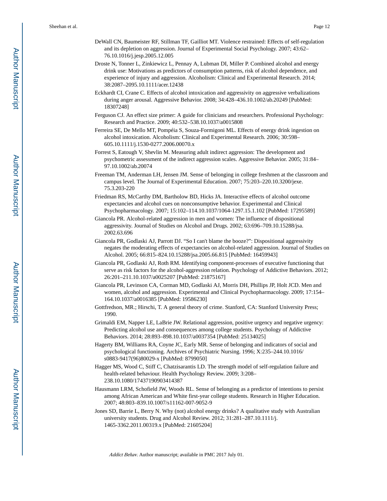- DeWall CN, Baumeister RF, Stillman TF, Gailliot MT. Violence restrained: Effects of self-regulation and its depletion on aggression. Journal of Experimental Social Psychology. 2007; 43:62– 76.10.1016/j.jesp.2005.12.005
- Droste N, Tonner L, Zinkiewicz L, Pennay A, Lubman DI, Miller P. Combined alcohol and energy drink use: Motivations as predictors of consumption patterns, risk of alcohol dependence, and experience of injury and aggression. Alcoholism: Clinical and Experimental Research. 2014; 38:2087–2095.10.1111/acer.12438
- Eckhardt CI, Crane C. Effects of alcohol intoxication and aggressivity on aggressive verbalizations during anger arousal. Aggressive Behavior. 2008; 34:428–436.10.1002/ab.20249 [PubMed: 18307248]
- Ferguson CJ. An effect size primer: A guide for clinicians and researchers. Professional Psychology: Research and Practice. 2009; 40:532–538.10.1037/a0015808
- Ferreira SE, De Mello MT, Pompéia S, Souza-Formigoni ML. Effects of energy drink ingestion on alcohol intoxication. Alcoholism: Clinical and Experimental Research. 2006; 30:598– 605.10.1111/j.1530-0277.2006.00070.x
- Forrest S, Eatough V, Shevlin M. Measuring adult indirect aggression: The development and psychometric assessment of the indirect aggression scales. Aggressive Behavior. 2005; 31:84– 97.10.1002/ab.20074
- Freeman TM, Anderman LH, Jensen JM. Sense of belonging in college freshmen at the classroom and campus level. The Journal of Experimental Education. 2007; 75:203–220.10.3200/jexe. 75.3.203-220
- Friedman RS, McCarthy DM, Bartholow BD, Hicks JA. Interactive effects of alcohol outcome expectancies and alcohol cues on nonconsumptive behavior. Experimental and Clinical Psychopharmacology. 2007; 15:102–114.10.1037/1064-1297.15.1.102 [PubMed: 17295589]
- Giancola PR. Alcohol-related aggression in men and women: The influence of dispositional aggressivity. Journal of Studies on Alcohol and Drugs. 2002; 63:696–709.10.15288/jsa. 2002.63.696
- Giancola PR, Godlaski AJ, Parrott DJ. "So I can't blame the booze?": Dispositional aggressivity negates the moderating effects of expectancies on alcohol-related aggression. Journal of Studies on Alcohol. 2005; 66:815–824.10.15288/jsa.2005.66.815 [PubMed: 16459943]
- Giancola PR, Godlaski AJ, Roth RM. Identifying component-processes of executive functioning that serve as risk factors for the alcohol-aggression relation. Psychology of Addictive Behaviors. 2012; 26:201–211.10.1037/a0025207 [PubMed: 21875167]
- Giancola PR, Levinson CA, Corman MD, Godlaski AJ, Morris DH, Phillips JP, Holt JCD. Men and women, alcohol and aggression. Experimental and Clinical Psychopharmacology. 2009; 17:154– 164.10.1037/a0016385 [PubMed: 19586230]
- Gottfredson, MR.; Hirschi, T. A general theory of crime. Stanford, CA: Stanford University Press; 1990.
- Grimaldi EM, Napper LE, LaBrie JW. Relational aggression, positive urgency and negative urgency: Predicting alcohol use and consequences among college students. Psychology of Addictive Behaviors. 2014; 28:893–898.10.1037/a0037354 [PubMed: 25134025]
- Hagerty BM, Williams RA, Coyne JC, Early MR. Sense of belonging and indicators of social and psychological functioning. Archives of Psychiatric Nursing. 1996; X:235–244.10.1016/ s0883-9417(96)80029-x [PubMed: 8799050]
- Hagger MS, Wood C, Stiff C, Chatzisarantis LD. The strength model of self-regulation failure and health-related behaviour. Health Psychology Review. 2009; 3:208– 238.10.1080/17437190903414387
- Hausmann LRM, Schofield JW, Woods RL. Sense of belonging as a predictor of intentions to persist among African American and White first-year college students. Research in Higher Education. 2007; 48:803–839.10.1007/s11162-007-9052-9
- Jones SD, Barrie L, Berry N. Why (not) alcohol energy drinks? A qualitative study with Australian university students. Drug and Alcohol Review. 2012; 31:281–287.10.1111/j. 1465-3362.2011.00319.x [PubMed: 21605204]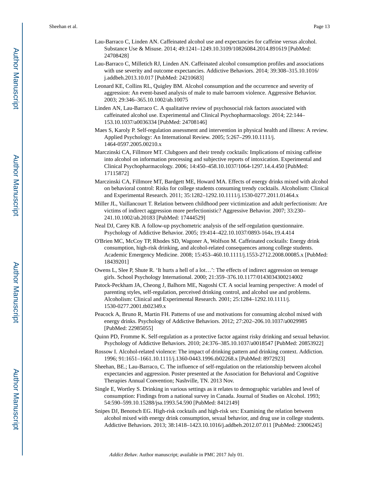- Lau-Barraco C, Linden AN. Caffeinated alcohol use and expectancies for caffeine versus alcohol. Substance Use & Misuse. 2014; 49:1241–1249.10.3109/10826084.2014.891619 [PubMed: 24708428]
- Lau-Barraco C, Milletich RJ, Linden AN. Caffeinated alcohol consumption profiles and associations with use severity and outcome expectancies. Addictive Behaviors. 2014; 39:308–315.10.1016/ j.addbeh.2013.10.017 [PubMed: 24210683]
- Leonard KE, Collins RL, Quigley BM. Alcohol consumption and the occurrence and severity of aggression: An event-based analysis of male to male barroom violence. Aggressive Behavior. 2003; 29:346–365.10.1002/ab.10075
- Linden AN, Lau-Barraco C. A qualitative review of psychosocial risk factors associated with caffeinated alcohol use. Experimental and Clinical Psychopharmacology. 2014; 22:144– 153.10.1037/a0036334 [PubMed: 24708146]
- Maes S, Karoly P. Self-regulation assessment and intervention in physical health and illness: A review. Applied Psychology: An International Review. 2005; 5:267–299.10.1111/j. 1464-0597.2005.00210.x
- Marczinski CA, Fillmore MT. Clubgoers and their trendy cocktails: Implications of mixing caffeine into alcohol on information processing and subjective reports of intoxication. Experimental and Clinical Psychopharmacology. 2006; 14:450–458.10.1037/1064-1297.14.4.450 [PubMed: 17115872]
- Marczinski CA, Fillmore MT, Bardgett ME, Howard MA. Effects of energy drinks mixed with alcohol on behavioral control: Risks for college students consuming trendy cocktails. Alcoholism: Clinical and Experimental Research. 2011; 35:1282–1292.10.1111/j.1530-0277.2011.01464.x
- Miller JL, Vaillancourt T. Relation between childhood peer victimization and adult perfectionism: Are victims of indirect aggression more perfectionistic? Aggressive Behavior. 2007; 33:230– 241.10.1002/ab.20183 [PubMed: 17444529]
- Neal DJ, Carey KB. A follow-up psychometric analysis of the self-regulation questionnaire. Psychology of Addictive Behavior. 2005; 19:414–422.10.1037/0893-164x.19.4.414
- O'Brien MC, McCoy TP, Rhodes SD, Wagoner A, Wolfson M. Caffeinated cocktails: Energy drink consumption, high-risk drinking, and alcohol-related consequences among college students. Academic Emergency Medicine. 2008; 15:453–460.10.1111/j.1553-2712.2008.00085.x [PubMed: 18439201]
- Owens L, Slee P, Shute R. 'It hurts a hell of a lot…': The effects of indirect aggression on teenage girls. School Psychology International. 2000; 21:359–376.10.1177/0143034300214002
- Patock-Peckham JA, Cheong J, Balhorn ME, Nagoshi CT. A social learning perspective: A model of parenting styles, self-regulation, perceived drinking control, and alcohol use and problems. Alcoholism: Clinical and Experimental Research. 2001; 25:1284–1292.10.1111/j. 1530-0277.2001.tb02349.x
- Peacock A, Bruno R, Martin FH. Patterns of use and motivations for consuming alcohol mixed with energy drinks. Psychology of Addictive Behaviors. 2012; 27:202–206.10.1037/a0029985 [PubMed: 22985055]
- Quinn PD, Fromme K. Self-regulation as a protective factor against risky drinking and sexual behavior. Psychology of Addictive Behaviors. 2010; 24:376–385.10.1037/a0018547 [PubMed: 20853922]
- Rossow I. Alcohol-related violence: The impact of drinking pattern and drinking context. Addiction. 1996; 91:1651–1661.10.1111/j.1360-0443.1996.tb02268.x [PubMed: 8972923]
- Sheehan, BE.; Lau-Barraco, C. The influence of self-regulation on the relationship between alcohol expectancies and aggression. Poster presented at the Association for Behavioral and Cognitive Therapies Annual Convention; Nashville, TN. 2013 Nov.
- Single E, Wortley S. Drinking in various settings as it relates to demographic variables and level of consumption: Findings from a national survey in Canada. Journal of Studies on Alcohol. 1993; 54:590–599.10.15288/jsa.1993.54.590 [PubMed: 8412149]
- Snipes DJ, Benotsch EG. High-risk cocktails and high-risk sex: Examining the relation between alcohol mixed with energy drink consumption, sexual behavior, and drug use in college students. Addictive Behaviors. 2013; 38:1418–1423.10.1016/j.addbeh.2012.07.011 [PubMed: 23006245]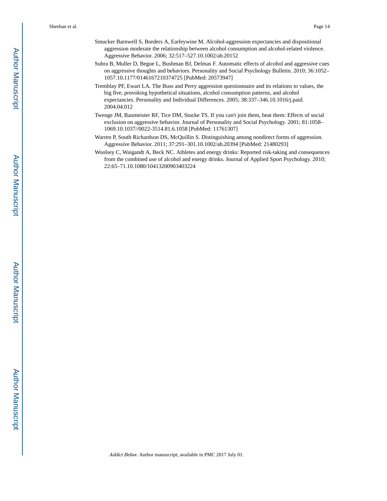- Smucker Barnwell S, Borders A, Earleywine M. Alcohol-aggression expectancies and dispositional aggression moderate the relationship between alcohol consumption and alcohol-related violence. Aggressive Behavior. 2006; 32:517–527.10.1002/ab.20152
- Subra B, Muller D, Begue L, Bushman BJ, Delmas F. Automatic effects of alcohol and aggressive cues on aggressive thoughts and behaviors. Personality and Social Psychology Bulletin. 2010; 36:1052– 1057.10.1177/0146167210374725 [PubMed: 20573947]
- Tremblay PF, Ewart LA. The Buss and Perry aggression questionnaire and its relations to values, the big five, provoking hypothetical situations, alcohol consumption patterns, and alcohol expectancies. Personality and Individual Differences. 2005; 38:337–346.10.1016/j.paid. 2004.04.012
- Twenge JM, Baumeister RF, Tice DM, Stucke TS. If you can't join them, beat them: Effects of social exclusion on aggressive behavior. Journal of Personality and Social Psychology. 2001; 81:1058– 1069.10.1037//0022-3514.81.6.1058 [PubMed: 11761307]
- Warren P, South Richardson DS, McQuillin S. Distinguishing among nondirect forms of aggression. Aggressive Behavior. 2011; 37:291–301.10.1002/ab.20394 [PubMed: 21480293]
- Woolsey C, Waigandt A, Beck NC. Athletes and energy drinks: Reported risk-taking and consequences from the combined use of alcohol and energy drinks. Journal of Applied Sport Psychology. 2010; 22:65–71.10.1080/10413200903403224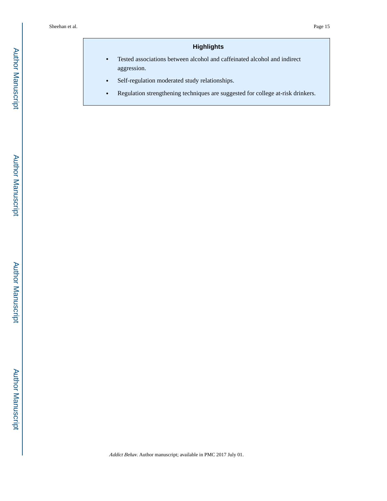# **Highlights**

- **•** Tested associations between alcohol and caffeinated alcohol and indirect aggression.
- **•** Self-regulation moderated study relationships.
- **•** Regulation strengthening techniques are suggested for college at-risk drinkers.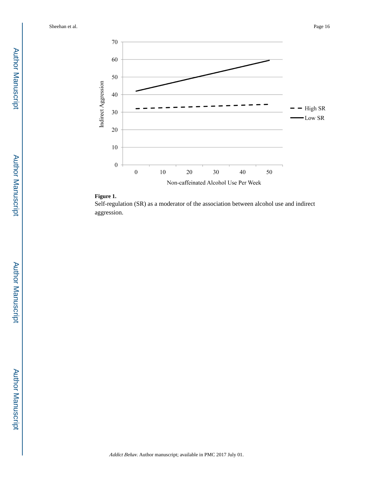

#### **Figure 1.**

Self-regulation (SR) as a moderator of the association between alcohol use and indirect aggression.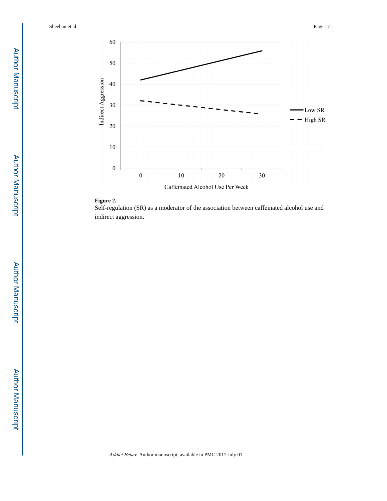

#### **Figure 2.**

Self-regulation (SR) as a moderator of the association between caffeinated alcohol use and indirect aggression.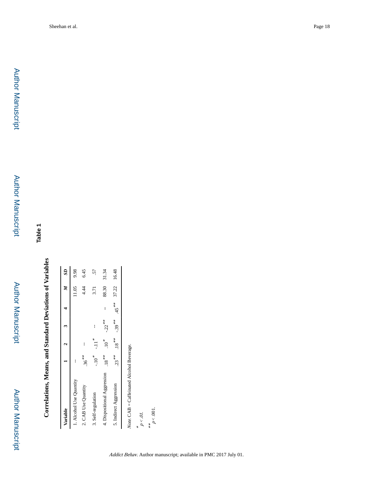Author Manuscript Author Manuscript

Author Manuscript Author Manuscript

**Table 1**

| Variable                                  |           |                      |                     |        |       | SD    |
|-------------------------------------------|-----------|----------------------|---------------------|--------|-------|-------|
| 1. Alcohol Use Quantity                   | ł         |                      |                     |        | 11.05 | 9.98  |
| 2. CAB Use Quantity                       | $.36***$  | I                    |                     |        | 4.44  | 6.45  |
| 3. Self-regulation                        | $-10^{*}$ | $-11*$               | i                   |        | 3.71  | 57    |
| 4. Dispositional Aggression               | $18^{**}$ | $10*$                | $-22$ <sup>**</sup> | ł      | 88.30 | 31.34 |
| 5. Indirect Aggression                    | $23***$   | $\cdot^{18}$ $\cdot$ | $-.39***$           | $45**$ | 37.22 | 16.48 |
| Note. CAB = Caffeinated Alcohol Beverage. |           |                      |                     |        |       |       |
| $p < .01$ .                               |           |                      |                     |        |       |       |
| p < .001<br>**                            |           |                      |                     |        |       |       |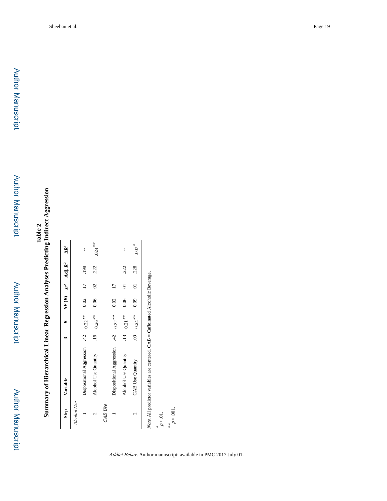**Summary of Hierarchical Linear Regression Analyses Predicting Indirect Aggression Summary of Hierarchical Linear Regression Analyses Predicting Indirect Aggression**

| Step        | Variable                 |                | ż                    |      |                 | $SE(B)$ $sr^2$ Adj. $R^2$ | p2        |
|-------------|--------------------------|----------------|----------------------|------|-----------------|---------------------------|-----------|
| Alcohol Use |                          |                |                      |      |                 |                           |           |
|             | Dispositional Aggression | $\ddot{4}$     | $0.22$ <sup>**</sup> | 0.02 | $\overline{17}$ | .199                      | I         |
|             | Alcohol Use Quantity     | $-16$          | $0.26***$            | 0.06 | $\mathcal{S}$   | 222                       | $.024***$ |
| $CAB$ Use   |                          |                |                      |      |                 |                           |           |
|             | Dispositional Aggression | $\frac{42}{5}$ | $0.22***$            | 0.02 | H               |                           |           |
|             | Alcohol Use Quantity     | $\ddot{13}$    | $0.21***$            | 0.06 | ā               | 222                       | I         |
|             | <b>CAB</b> Use Quantity  | S.             | $0.24***$            | 0.09 | $\Xi$           | .228                      | $.007*$   |

 $p < 01.$ <br>\*\*<br> $p < 001.$